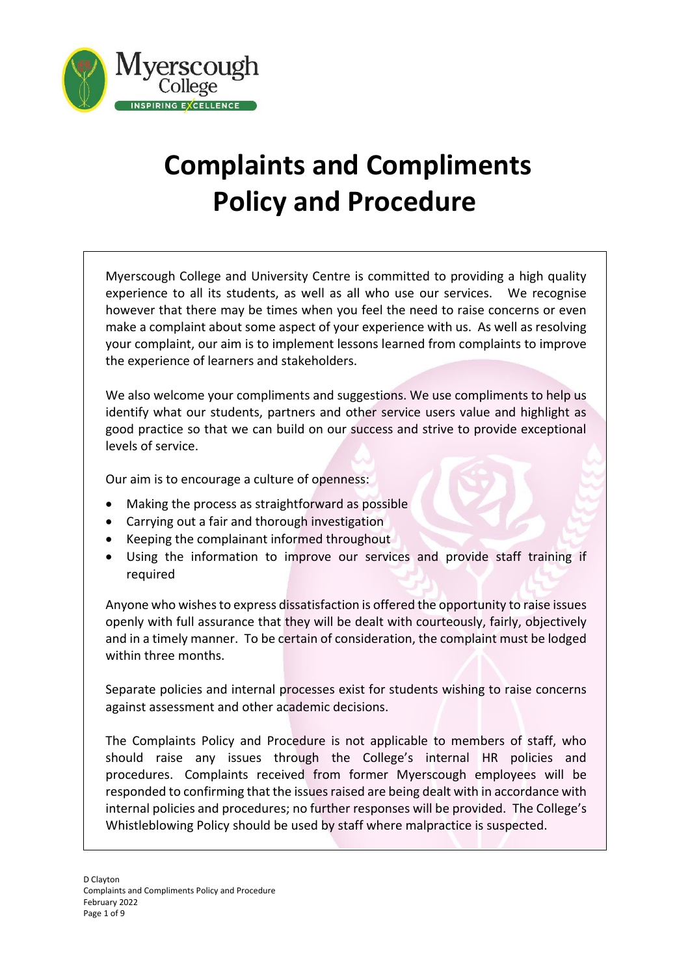

# **Complaints and Compliments Policy and Procedure**

Myerscough College and University Centre is committed to providing a high quality experience to all its students, as well as all who use our services. We recognise however that there may be times when you feel the need to raise concerns or even make a complaint about some aspect of your experience with us. As well as resolving your complaint, our aim is to implement lessons learned from complaints to improve the experience of learners and stakeholders.

We also welcome your compliments and suggestions. We use compliments to help us identify what our students, partners and other service users value and highlight as good practice so that we can build on our success and strive to provide exceptional levels of service.

Our aim is to encourage a culture of openness:

- Making the process as straightforward as possible
- Carrying out a fair and thorough investigation
- Keeping the complainant informed throughout
- Using the information to improve our services and provide staff training if required

Anyone who wishes to express dissatisfaction is offered the opportunity to raise issues openly with full assurance that they will be dealt with courteously, fairly, objectively and in a timely manner. To be certain of consideration, the complaint must be lodged within three months.

Separate policies and internal processes exist for students wishing to raise concerns against assessment and other academic decisions.

The Complaints Policy and Procedure is not applicable to members of staff, who should raise any issues through the College's internal HR policies and procedures. Complaints received from former Myerscough employees will be responded to confirming that the issues raised are being dealt with in accordance with internal policies and procedures; no further responses will be provided. The College's Whistleblowing Policy should be used by staff where malpractice is suspected.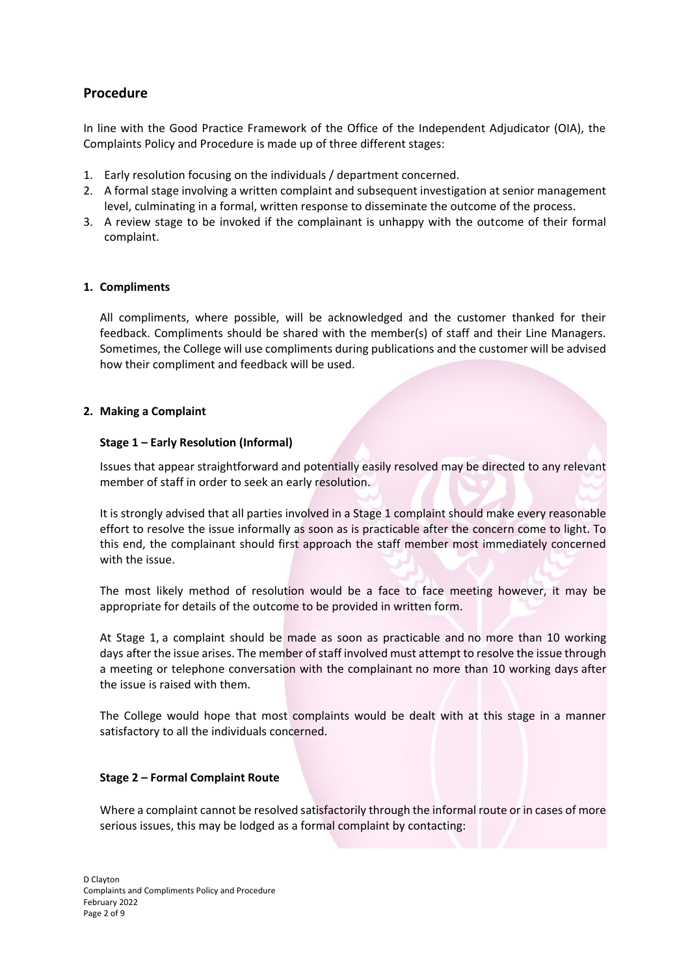# **Procedure**

In line with the Good Practice Framework of the Office of the Independent Adjudicator (OIA), the Complaints Policy and Procedure is made up of three different stages:

- 1. Early resolution focusing on the individuals / department concerned.
- 2. A formal stage involving a written complaint and subsequent investigation at senior management level, culminating in a formal, written response to disseminate the outcome of the process.
- 3. A review stage to be invoked if the complainant is unhappy with the outcome of their formal complaint.

# **1. Compliments**

All compliments, where possible, will be acknowledged and the customer thanked for their feedback. Compliments should be shared with the member(s) of staff and their Line Managers. Sometimes, the College will use compliments during publications and the customer will be advised how their compliment and feedback will be used.

# **2. Making a Complaint**

# **Stage 1 – Early Resolution (Informal)**

Issues that appear straightforward and potentially easily resolved may be directed to any relevant member of staff in order to seek an early resolution.

It is strongly advised that all parties involved in a Stage 1 complaint should make every reasonable effort to resolve the issue informally as soon as is practicable after the concern come to light. To this end, the complainant should first approach the staff member most immediately concerned with the issue.

The most likely method of resolution would be a face to face meeting however, it may be appropriate for details of the outcome to be provided in written form.

At Stage 1, a complaint should be made as soon as practicable and no more than 10 working days after the issue arises. The member of staff involved must attempt to resolve the issue through a meeting or telephone conversation with the complainant no more than 10 working days after the issue is raised with them.

The College would hope that most complaints would be dealt with at this stage in a manner satisfactory to all the individuals concerned.

# **Stage 2 – Formal Complaint Route**

Where a complaint cannot be resolved satisfactorily through the informal route or in cases of more serious issues, this may be lodged as a formal complaint by contacting: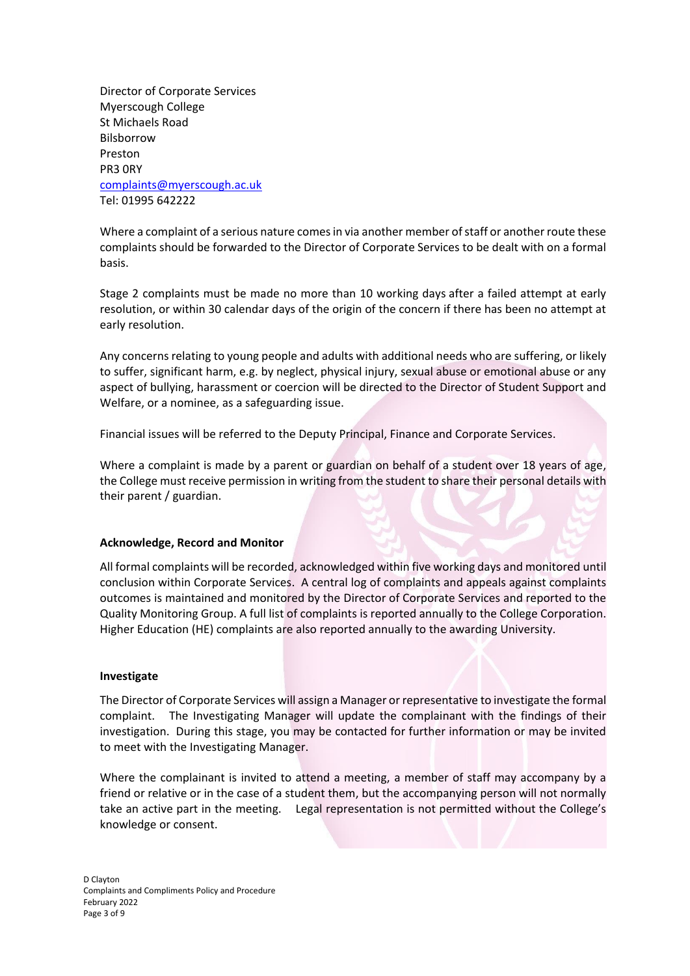Director of Corporate Services Myerscough College St Michaels Road Bilsborrow Preston PR3 0RY [complaints@myerscough.ac.uk](mailto:complaints@myerscough.ac.uk) Tel: 01995 642222

Where a complaint of a serious nature comes in via another member of staff or another route these complaints should be forwarded to the Director of Corporate Services to be dealt with on a formal basis.

Stage 2 complaints must be made no more than 10 working days after a failed attempt at early resolution, or within 30 calendar days of the origin of the concern if there has been no attempt at early resolution.

Any concerns relating to young people and adults with additional needs who are suffering, or likely to suffer, significant harm, e.g. by neglect, physical injury, sexual abuse or emotional abuse or any aspect of bullying, harassment or coercion will be directed to the Director of Student Support and Welfare, or a nominee, as a safeguarding issue.

Financial issues will be referred to the Deputy Principal, Finance and Corporate Services.

Where a complaint is made by a parent or guardian on behalf of a student over 18 years of age, the College must receive permission in writing from the student to share their personal details with their parent / guardian.

# **Acknowledge, Record and Monitor**

All formal complaints will be recorded, acknowledged within five working days and monitored until conclusion within Corporate Services. A central log of complaints and appeals against complaints outcomes is maintained and monitored by the Director of Corporate Services and reported to the Quality Monitoring Group. A full list of complaints is reported annually to the College Corporation. Higher Education (HE) complaints are also reported annually to the awarding University.

#### **Investigate**

The Director of Corporate Services will assign a Manager or representative to investigate the formal complaint. The Investigating Manager will update the complainant with the findings of their investigation. During this stage, you may be contacted for further information or may be invited to meet with the Investigating Manager.

Where the complainant is invited to attend a meeting, a member of staff may accompany by a friend or relative or in the case of a student them, but the accompanying person will not normally take an active part in the meeting. Legal representation is not permitted without the College's knowledge or consent.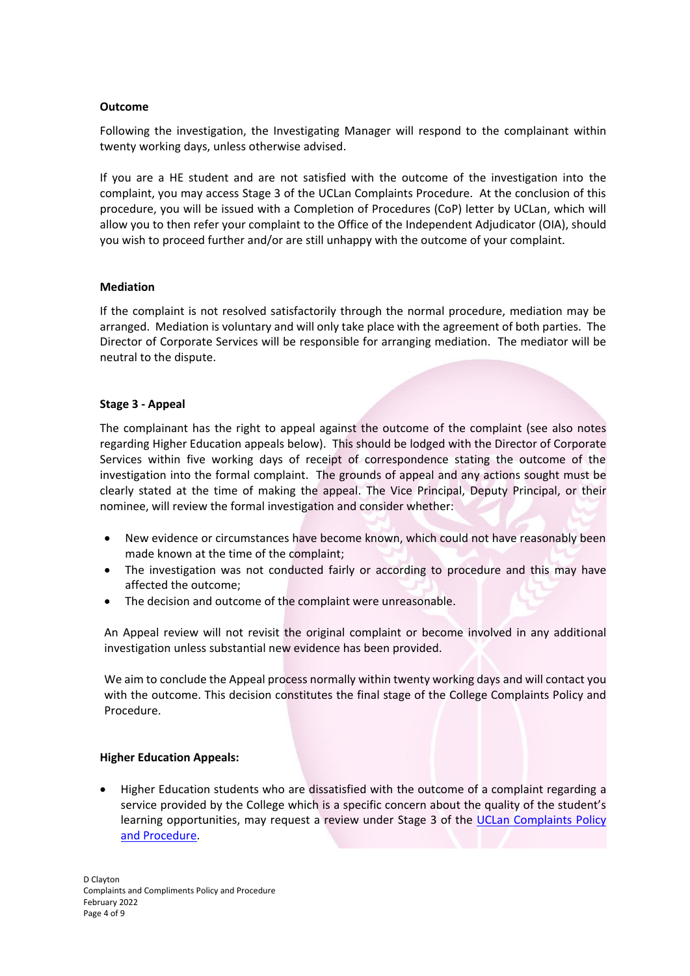#### **Outcome**

Following the investigation, the Investigating Manager will respond to the complainant within twenty working days, unless otherwise advised.

If you are a HE student and are not satisfied with the outcome of the investigation into the complaint, you may access Stage 3 of the UCLan Complaints Procedure. At the conclusion of this procedure, you will be issued with a Completion of Procedures (CoP) letter by UCLan, which will allow you to then refer your complaint to the Office of the Independent Adjudicator (OIA), should you wish to proceed further and/or are still unhappy with the outcome of your complaint.

#### **Mediation**

If the complaint is not resolved satisfactorily through the normal procedure, mediation may be arranged. Mediation is voluntary and will only take place with the agreement of both parties. The Director of Corporate Services will be responsible for arranging mediation. The mediator will be neutral to the dispute.

#### **Stage 3 - Appeal**

The complainant has the right to appeal against the outcome of the complaint (see also notes regarding Higher Education appeals below). This should be lodged with the Director of Corporate Services within five working days of receipt of correspondence stating the outcome of the investigation into the formal complaint. The grounds of appeal and any actions sought must be clearly stated at the time of making the appeal. The Vice Principal, Deputy Principal, or their nominee, will review the formal investigation and consider whether:

- New evidence or circumstances have become known, which could not have reasonably been made known at the time of the complaint;
- The investigation was not conducted fairly or according to procedure and this may have affected the outcome;
- The decision and outcome of the complaint were unreasonable.

An Appeal review will not revisit the original complaint or become involved in any additional investigation unless substantial new evidence has been provided.

We aim to conclude the Appeal process normally within twenty working days and will contact you with the outcome. This decision constitutes the final stage of the College Complaints Policy and Procedure.

# **Higher Education Appeals:**

• Higher Education students who are dissatisfied with the outcome of a complaint regarding a service provided by the College which is a specific concern about the quality of the student's learning opportunities, may request a review under Stage 3 of the UCLan Complaints Policy [and Procedure.](https://www.uclan.ac.uk/corporate_information/complaints-procedure.php)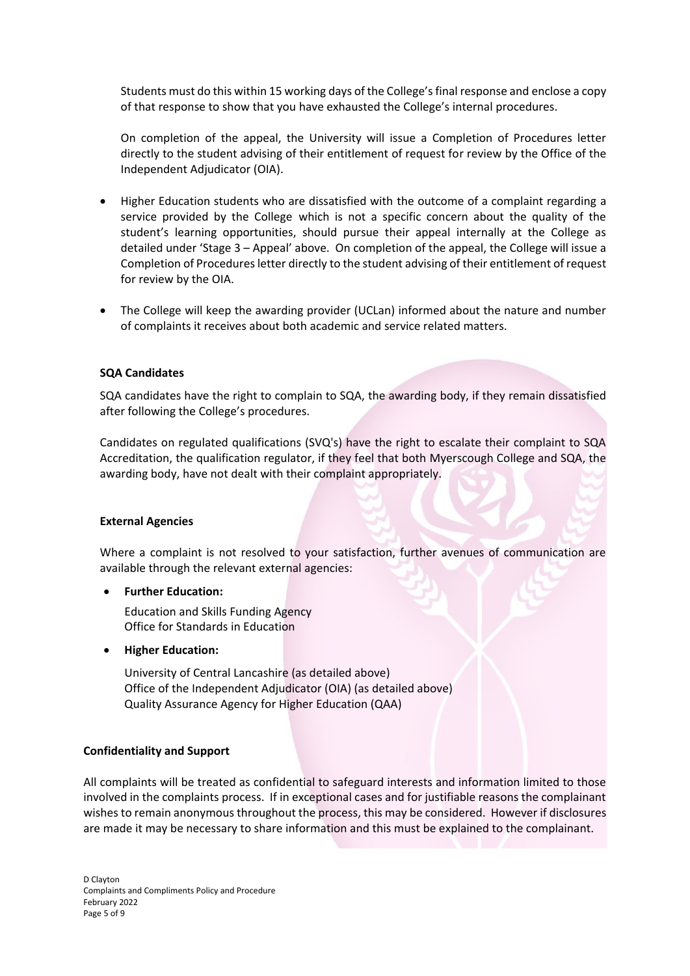Students must do this within 15 working days of the College's final response and enclose a copy of that response to show that you have exhausted the College's internal procedures.

On completion of the appeal, the University will issue a Completion of Procedures letter directly to the student advising of their entitlement of request for review by the Office of the Independent Adjudicator (OIA).

- Higher Education students who are dissatisfied with the outcome of a complaint regarding a service provided by the College which is not a specific concern about the quality of the student's learning opportunities, should pursue their appeal internally at the College as detailed under 'Stage 3 – Appeal' above. On completion of the appeal, the College will issue a Completion of Procedures letter directly to the student advising of their entitlement of request for review by the OIA.
- The College will keep the awarding provider (UCLan) informed about the nature and number of complaints it receives about both academic and service related matters.

# **SQA Candidates**

SQA candidates have the right to complain to SQA, the awarding body, if they remain dissatisfied after following the College's procedures.

Candidates on regulated qualifications (SVQ's) have the right to escalate their complaint to SQA Accreditation, the qualification regulator, if they feel that both Myerscough College and SQA, the awarding body, have not dealt with their complaint appropriately.

# **External Agencies**

Where a complaint is not resolved to your satisfaction, further avenues of communication are available through the relevant external agencies:

# • **Further Education:**

Education and Skills Funding Agency Office for Standards in Education

• **Higher Education:**

University of Central Lancashire (as detailed above) Office of the Independent Adjudicator (OIA) (as detailed above) Quality Assurance Agency for Higher Education (QAA)

# **Confidentiality and Support**

All complaints will be treated as confidential to safeguard interests and information limited to those involved in the complaints process. If in exceptional cases and for justifiable reasons the complainant wishes to remain anonymous throughout the process, this may be considered. However if disclosures are made it may be necessary to share information and this must be explained to the complainant.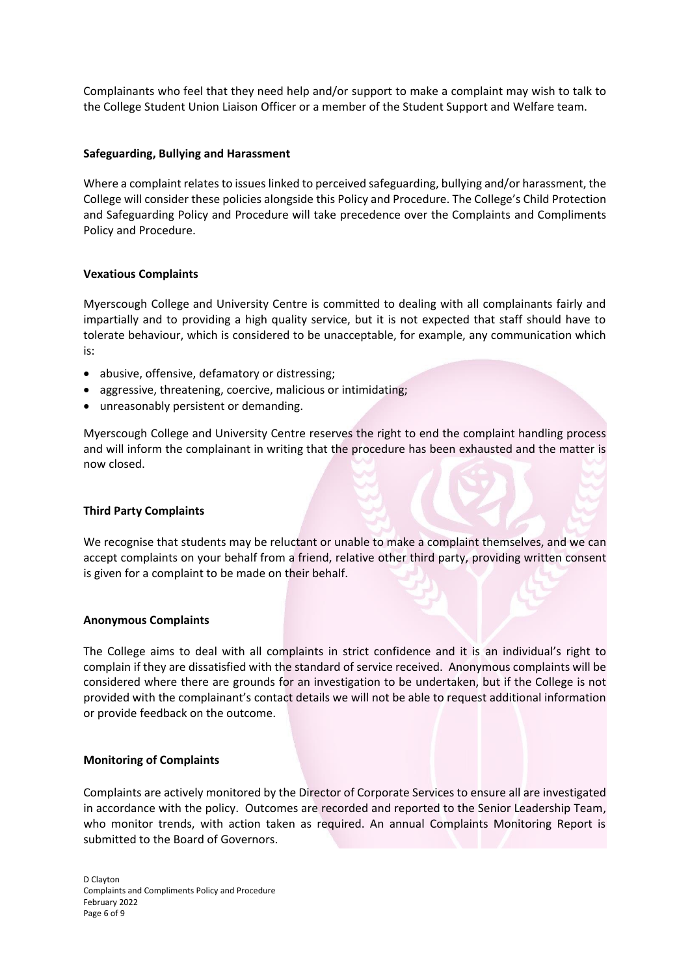Complainants who feel that they need help and/or support to make a complaint may wish to talk to the College Student Union Liaison Officer or a member of the Student Support and Welfare team.

#### **Safeguarding, Bullying and Harassment**

Where a complaint relates to issues linked to perceived safeguarding, bullying and/or harassment, the College will consider these policies alongside this Policy and Procedure. The College's Child Protection and Safeguarding Policy and Procedure will take precedence over the Complaints and Compliments Policy and Procedure.

#### **Vexatious Complaints**

Myerscough College and University Centre is committed to dealing with all complainants fairly and impartially and to providing a high quality service, but it is not expected that staff should have to tolerate behaviour, which is considered to be unacceptable, for example, any communication which is:

- abusive, offensive, defamatory or distressing;
- aggressive, threatening, coercive, malicious or intimidating;
- unreasonably persistent or demanding.

Myerscough College and University Centre reserves the right to end the complaint handling process and will inform the complainant in writing that the procedure has been exhausted and the matter is now closed.

# **Third Party Complaints**

We recognise that students may be reluctant or unable to make a complaint themselves, and we can accept complaints on your behalf from a friend, relative other third party, providing written consent is given for a complaint to be made on their behalf.

#### **Anonymous Complaints**

The College aims to deal with all complaints in strict confidence and it is an individual's right to complain if they are dissatisfied with the standard of service received. Anonymous complaints will be considered where there are grounds for an investigation to be undertaken, but if the College is not provided with the complainant's contact details we will not be able to request additional information or provide feedback on the outcome.

#### **Monitoring of Complaints**

Complaints are actively monitored by the Director of Corporate Services to ensure all are investigated in accordance with the policy. Outcomes are recorded and reported to the Senior Leadership Team, who monitor trends, with action taken as required. An annual Complaints Monitoring Report is submitted to the Board of Governors.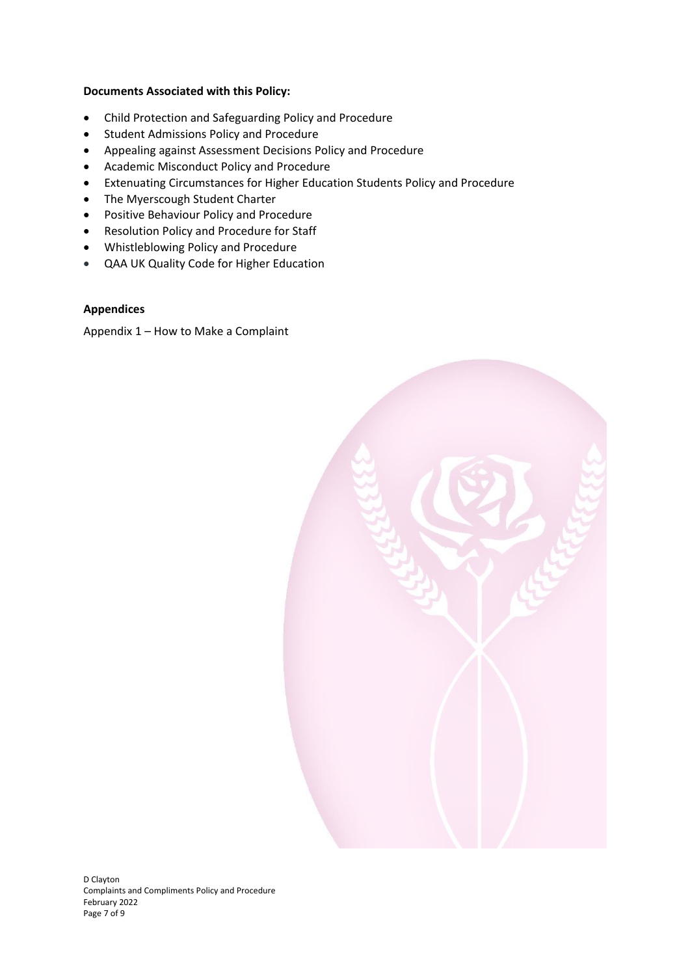# **Documents Associated with this Policy:**

- Child Protection and Safeguarding Policy and Procedure
- Student Admissions Policy and Procedure
- Appealing against Assessment Decisions Policy and Procedure
- Academic Misconduct Policy and Procedure
- Extenuating Circumstances for Higher Education Students Policy and Procedure
- The Myerscough Student Charter
- Positive Behaviour Policy and Procedure
- Resolution Policy and Procedure for Staff
- Whistleblowing Policy and Procedure
- QAA UK Quality Code for Higher Education

#### **Appendices**

Appendix 1 – How to Make a Complaint

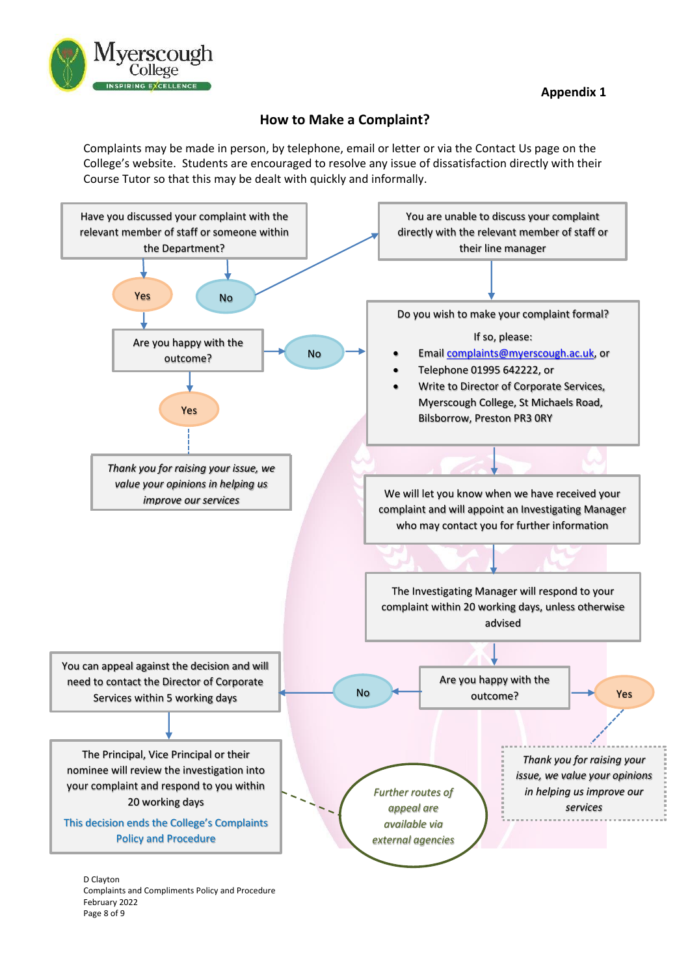

# **How to Make a Complaint?**

Complaints may be made in person, by telephone, email or letter or via the Contact Us page on the College's website. Students are encouraged to resolve any issue of dissatisfaction directly with their Course Tutor so that this may be dealt with quickly and informally.



D Clayton Complaints and Compliments Policy and Procedure February 2022 Page 8 of 9